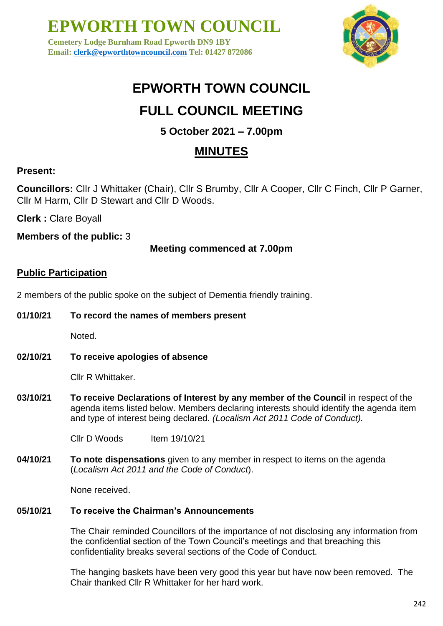**Cemetery Lodge Burnham Road Epworth DN9 1BY Email: [clerk@epworthtowncouncil.com](mailto:clerk@epworthtowncouncil.com) Tel: 01427 872086**



# **EPWORTH TOWN COUNCIL**

# **FULL COUNCIL MEETING**

## **5 October 2021 – 7.00pm**

## **MINUTES**

## **Present:**

**Councillors:** Cllr J Whittaker (Chair), Cllr S Brumby, Cllr A Cooper, Cllr C Finch, Cllr P Garner, Cllr M Harm, Cllr D Stewart and Cllr D Woods.

**Clerk :** Clare Boyall

**Members of the public:** 3

### **Meeting commenced at 7.00pm**

### **Public Participation**

2 members of the public spoke on the subject of Dementia friendly training.

**01/10/21 To record the names of members present**

Noted.

**02/10/21 To receive apologies of absence**

Cllr R Whittaker.

**03/10/21 To receive Declarations of Interest by any member of the Council** in respect of the agenda items listed below. Members declaring interests should identify the agenda item and type of interest being declared. *(Localism Act 2011 Code of Conduct).*

Cllr D Woods Item 19/10/21

**04/10/21 To note dispensations** given to any member in respect to items on the agenda (*Localism Act 2011 and the Code of Conduct*).

None received.

#### **05/10/21 To receive the Chairman's Announcements**

The Chair reminded Councillors of the importance of not disclosing any information from the confidential section of the Town Council's meetings and that breaching this confidentiality breaks several sections of the Code of Conduct.

The hanging baskets have been very good this year but have now been removed. The Chair thanked Cllr R Whittaker for her hard work.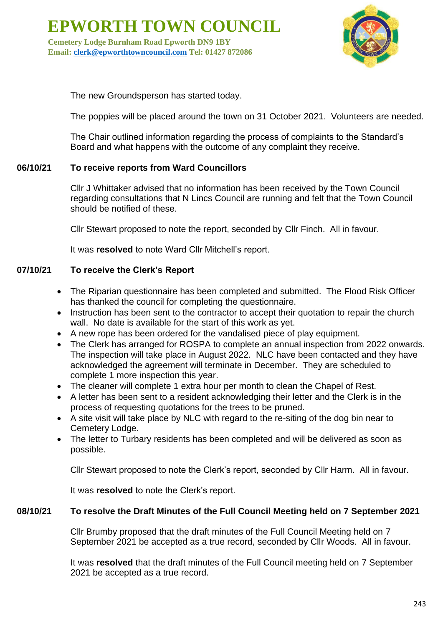**Cemetery Lodge Burnham Road Epworth DN9 1BY Email: [clerk@epworthtowncouncil.com](mailto:clerk@epworthtowncouncil.com) Tel: 01427 872086**



The new Groundsperson has started today.

The poppies will be placed around the town on 31 October 2021. Volunteers are needed.

The Chair outlined information regarding the process of complaints to the Standard's Board and what happens with the outcome of any complaint they receive.

#### **06/10/21 To receive reports from Ward Councillors**

Cllr J Whittaker advised that no information has been received by the Town Council regarding consultations that N Lincs Council are running and felt that the Town Council should be notified of these.

Cllr Stewart proposed to note the report, seconded by Cllr Finch. All in favour.

It was **resolved** to note Ward Cllr Mitchell's report.

#### **07/10/21 To receive the Clerk's Report**

- The Riparian questionnaire has been completed and submitted. The Flood Risk Officer has thanked the council for completing the questionnaire.
- Instruction has been sent to the contractor to accept their quotation to repair the church wall. No date is available for the start of this work as yet.
- A new rope has been ordered for the vandalised piece of play equipment.
- The Clerk has arranged for ROSPA to complete an annual inspection from 2022 onwards. The inspection will take place in August 2022. NLC have been contacted and they have acknowledged the agreement will terminate in December. They are scheduled to complete 1 more inspection this year.
- The cleaner will complete 1 extra hour per month to clean the Chapel of Rest.
- A letter has been sent to a resident acknowledging their letter and the Clerk is in the process of requesting quotations for the trees to be pruned.
- A site visit will take place by NLC with regard to the re-siting of the dog bin near to Cemetery Lodge.
- The letter to Turbary residents has been completed and will be delivered as soon as possible.

Cllr Stewart proposed to note the Clerk's report, seconded by Cllr Harm. All in favour.

It was **resolved** to note the Clerk's report.

#### **08/10/21 To resolve the Draft Minutes of the Full Council Meeting held on 7 September 2021**

Cllr Brumby proposed that the draft minutes of the Full Council Meeting held on 7 September 2021 be accepted as a true record, seconded by Cllr Woods. All in favour.

It was **resolved** that the draft minutes of the Full Council meeting held on 7 September 2021 be accepted as a true record.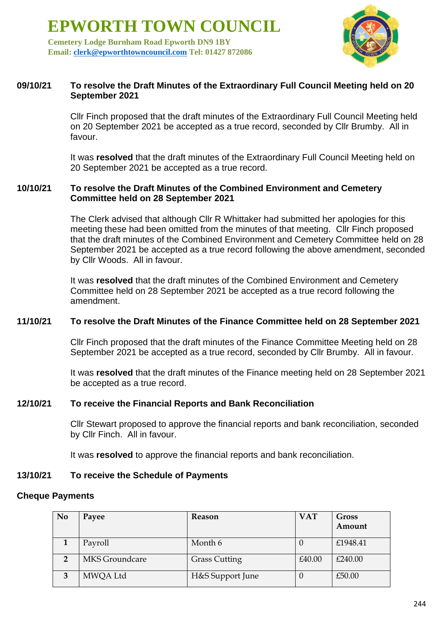**Cemetery Lodge Burnham Road Epworth DN9 1BY Email: [clerk@epworthtowncouncil.com](mailto:clerk@epworthtowncouncil.com) Tel: 01427 872086**



#### **09/10/21 To resolve the Draft Minutes of the Extraordinary Full Council Meeting held on 20 September 2021**

Cllr Finch proposed that the draft minutes of the Extraordinary Full Council Meeting held on 20 September 2021 be accepted as a true record, seconded by Cllr Brumby. All in favour.

It was **resolved** that the draft minutes of the Extraordinary Full Council Meeting held on 20 September 2021 be accepted as a true record.

#### **10/10/21 To resolve the Draft Minutes of the Combined Environment and Cemetery Committee held on 28 September 2021**

The Clerk advised that although Cllr R Whittaker had submitted her apologies for this meeting these had been omitted from the minutes of that meeting. Cllr Finch proposed that the draft minutes of the Combined Environment and Cemetery Committee held on 28 September 2021 be accepted as a true record following the above amendment, seconded by Cllr Woods. All in favour.

It was **resolved** that the draft minutes of the Combined Environment and Cemetery Committee held on 28 September 2021 be accepted as a true record following the amendment.

#### **11/10/21 To resolve the Draft Minutes of the Finance Committee held on 28 September 2021**

Cllr Finch proposed that the draft minutes of the Finance Committee Meeting held on 28 September 2021 be accepted as a true record, seconded by Cllr Brumby. All in favour.

It was **resolved** that the draft minutes of the Finance meeting held on 28 September 2021 be accepted as a true record.

#### **12/10/21 To receive the Financial Reports and Bank Reconciliation**

Cllr Stewart proposed to approve the financial reports and bank reconciliation, seconded by Cllr Finch. All in favour.

It was **resolved** to approve the financial reports and bank reconciliation.

#### **13/10/21 To receive the Schedule of Payments**

#### **Cheque Payments**

| N <sub>0</sub> | Payee          | <b>Reason</b>        | <b>VAT</b> | Gross    |
|----------------|----------------|----------------------|------------|----------|
|                |                |                      |            | Amount   |
|                | Payroll        | Month 6              |            | £1948.41 |
| $\overline{2}$ | MKS Groundcare | <b>Grass Cutting</b> | £40.00     | £240.00  |
| 3              | MWQA Ltd       | H&S Support June     |            | £50.00   |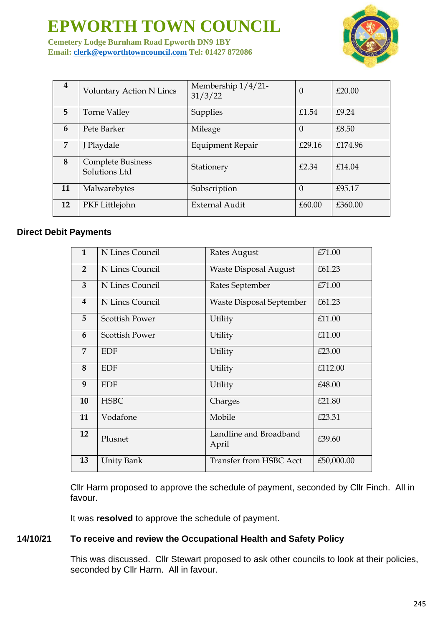**Cemetery Lodge Burnham Road Epworth DN9 1BY Email: [clerk@epworthtowncouncil.com](mailto:clerk@epworthtowncouncil.com) Tel: 01427 872086**



| 4  | <b>Voluntary Action N Lincs</b>           | Membership $1/4/21$ -<br>31/3/22 | $\theta$ | £20.00  |
|----|-------------------------------------------|----------------------------------|----------|---------|
| 5. | <b>Torne Valley</b>                       | Supplies                         | £1.54    | £9.24   |
| 6  | Pete Barker                               | Mileage                          | $\Omega$ | £8.50   |
| 7  | J Playdale                                | Equipment Repair                 | £29.16   | £174.96 |
| 8  | <b>Complete Business</b><br>Solutions Ltd | Stationery                       | £2.34    | f14.04  |
| 11 | Malwarebytes                              | Subscription                     | $\Omega$ | £95.17  |
| 12 | PKF Littlejohn                            | <b>External Audit</b>            | £60.00   | £360.00 |

#### **Direct Debit Payments**

| $\mathbf{1}$            | N Lincs Council       | Rates August                    | £71.00     |
|-------------------------|-----------------------|---------------------------------|------------|
| $\overline{2}$          | N Lincs Council       | <b>Waste Disposal August</b>    | £61.23     |
| $\overline{3}$          | N Lincs Council       | Rates September                 | £71.00     |
| $\overline{\mathbf{4}}$ | N Lincs Council       | <b>Waste Disposal September</b> | £61.23     |
| 5                       | <b>Scottish Power</b> | Utility                         | £11.00     |
| 6                       | <b>Scottish Power</b> | Utility                         | £11.00     |
| $\overline{7}$          | <b>EDF</b>            | Utility                         | £23.00     |
| 8                       | <b>EDF</b>            | Utility                         | £112.00    |
| 9                       | <b>EDF</b>            | Utility                         | £48.00     |
| 10                      | <b>HSBC</b>           | Charges                         | £21.80     |
| 11                      | Vodafone              | Mobile                          | £23.31     |
| 12                      | Plusnet               | Landline and Broadband<br>April | £39.60     |
| 13                      | <b>Unity Bank</b>     | <b>Transfer from HSBC Acct</b>  | £50,000.00 |

Cllr Harm proposed to approve the schedule of payment, seconded by Cllr Finch. All in favour.

It was **resolved** to approve the schedule of payment.

#### **14/10/21 To receive and review the Occupational Health and Safety Policy**

This was discussed. Cllr Stewart proposed to ask other councils to look at their policies, seconded by Cllr Harm. All in favour.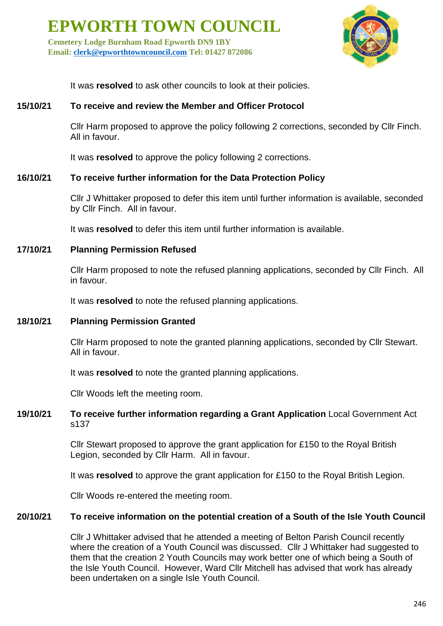**Cemetery Lodge Burnham Road Epworth DN9 1BY Email: [clerk@epworthtowncouncil.com](mailto:clerk@epworthtowncouncil.com) Tel: 01427 872086**



It was **resolved** to ask other councils to look at their policies.

#### **15/10/21 To receive and review the Member and Officer Protocol**

Cllr Harm proposed to approve the policy following 2 corrections, seconded by Cllr Finch. All in favour.

It was **resolved** to approve the policy following 2 corrections.

#### **16/10/21 To receive further information for the Data Protection Policy**

Cllr J Whittaker proposed to defer this item until further information is available, seconded by Cllr Finch. All in favour.

It was **resolved** to defer this item until further information is available.

#### **17/10/21 Planning Permission Refused**

Cllr Harm proposed to note the refused planning applications, seconded by Cllr Finch. All in favour.

It was **resolved** to note the refused planning applications.

#### **18/10/21 Planning Permission Granted**

Cllr Harm proposed to note the granted planning applications, seconded by Cllr Stewart. All in favour.

It was **resolved** to note the granted planning applications.

Cllr Woods left the meeting room.

#### **19/10/21 To receive further information regarding a Grant Application** Local Government Act s137

Cllr Stewart proposed to approve the grant application for £150 to the Royal British Legion, seconded by Cllr Harm. All in favour.

It was **resolved** to approve the grant application for £150 to the Royal British Legion.

Cllr Woods re-entered the meeting room.

#### **20/10/21 To receive information on the potential creation of a South of the Isle Youth Council**

Cllr J Whittaker advised that he attended a meeting of Belton Parish Council recently where the creation of a Youth Council was discussed. Cllr J Whittaker had suggested to them that the creation 2 Youth Councils may work better one of which being a South of the Isle Youth Council. However, Ward Cllr Mitchell has advised that work has already been undertaken on a single Isle Youth Council.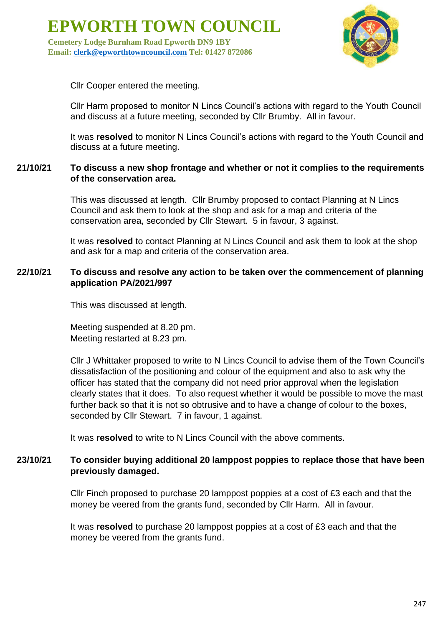**Cemetery Lodge Burnham Road Epworth DN9 1BY Email: [clerk@epworthtowncouncil.com](mailto:clerk@epworthtowncouncil.com) Tel: 01427 872086**



Cllr Cooper entered the meeting.

Cllr Harm proposed to monitor N Lincs Council's actions with regard to the Youth Council and discuss at a future meeting, seconded by Cllr Brumby. All in favour.

It was **resolved** to monitor N Lincs Council's actions with regard to the Youth Council and discuss at a future meeting.

#### **21/10/21 To discuss a new shop frontage and whether or not it complies to the requirements of the conservation area.**

This was discussed at length. Cllr Brumby proposed to contact Planning at N Lincs Council and ask them to look at the shop and ask for a map and criteria of the conservation area, seconded by Cllr Stewart. 5 in favour, 3 against.

It was **resolved** to contact Planning at N Lincs Council and ask them to look at the shop and ask for a map and criteria of the conservation area.

#### **22/10/21 To discuss and resolve any action to be taken over the commencement of planning application PA/2021/997**

This was discussed at length.

Meeting suspended at 8.20 pm. Meeting restarted at 8.23 pm.

Cllr J Whittaker proposed to write to N Lincs Council to advise them of the Town Council's dissatisfaction of the positioning and colour of the equipment and also to ask why the officer has stated that the company did not need prior approval when the legislation clearly states that it does. To also request whether it would be possible to move the mast further back so that it is not so obtrusive and to have a change of colour to the boxes, seconded by Cllr Stewart. 7 in favour, 1 against.

It was **resolved** to write to N Lincs Council with the above comments.

#### **23/10/21 To consider buying additional 20 lamppost poppies to replace those that have been previously damaged.**

Cllr Finch proposed to purchase 20 lamppost poppies at a cost of £3 each and that the money be veered from the grants fund, seconded by Cllr Harm. All in favour.

It was **resolved** to purchase 20 lamppost poppies at a cost of £3 each and that the money be veered from the grants fund.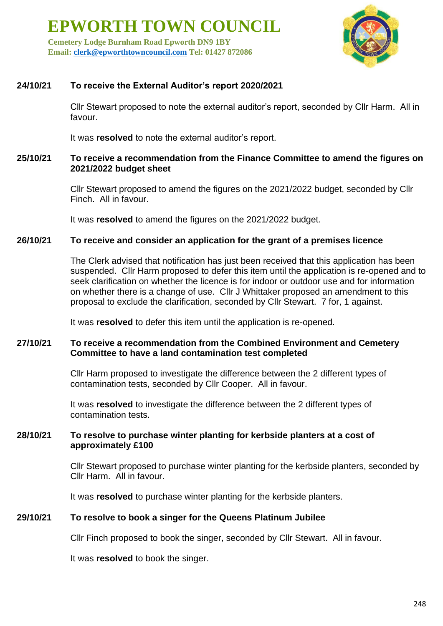**Cemetery Lodge Burnham Road Epworth DN9 1BY Email: [clerk@epworthtowncouncil.com](mailto:clerk@epworthtowncouncil.com) Tel: 01427 872086**



#### **24/10/21 To receive the External Auditor's report 2020/2021**

Cllr Stewart proposed to note the external auditor's report, seconded by Cllr Harm. All in favour.

It was **resolved** to note the external auditor's report.

#### **25/10/21 To receive a recommendation from the Finance Committee to amend the figures on 2021/2022 budget sheet**

Cllr Stewart proposed to amend the figures on the 2021/2022 budget, seconded by Cllr Finch. All in favour.

It was **resolved** to amend the figures on the 2021/2022 budget.

#### **26/10/21 To receive and consider an application for the grant of a premises licence**

The Clerk advised that notification has just been received that this application has been suspended. Cllr Harm proposed to defer this item until the application is re-opened and to seek clarification on whether the licence is for indoor or outdoor use and for information on whether there is a change of use. Cllr J Whittaker proposed an amendment to this proposal to exclude the clarification, seconded by Cllr Stewart. 7 for, 1 against.

It was **resolved** to defer this item until the application is re-opened.

#### **27/10/21 To receive a recommendation from the Combined Environment and Cemetery Committee to have a land contamination test completed**

Cllr Harm proposed to investigate the difference between the 2 different types of contamination tests, seconded by Cllr Cooper. All in favour.

It was **resolved** to investigate the difference between the 2 different types of contamination tests.

#### **28/10/21 To resolve to purchase winter planting for kerbside planters at a cost of approximately £100**

Cllr Stewart proposed to purchase winter planting for the kerbside planters, seconded by Cllr Harm. All in favour.

It was **resolved** to purchase winter planting for the kerbside planters.

#### **29/10/21 To resolve to book a singer for the Queens Platinum Jubilee**

Cllr Finch proposed to book the singer, seconded by Cllr Stewart. All in favour.

It was **resolved** to book the singer.